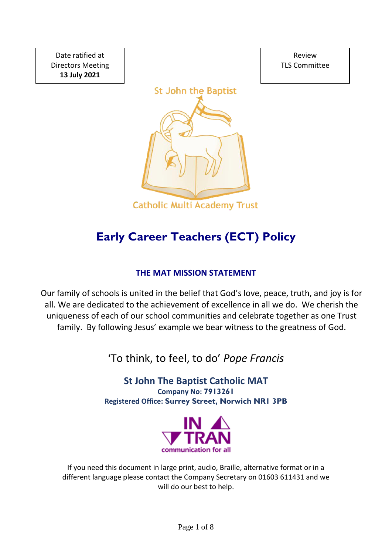Date ratified at Directors Meeting **13 July 2021**

Review TLS Committee



# **Early Career Teachers (ECT) Policy**

# **THE MAT MISSION STATEMENT**

Our family of schools is united in the belief that God's love, peace, truth, and joy is for all. We are dedicated to the achievement of excellence in all we do. We cherish the uniqueness of each of our school communities and celebrate together as one Trust family. By following Jesus' example we bear witness to the greatness of God.

'To think, to feel, to do' *Pope Francis*

**St John The Baptist Catholic MAT Company No: 7913261 Registered Office: Surrey Street, Norwich NR1 3PB**



If you need this document in large print, audio, Braille, alternative format or in a different language please contact the Company Secretary on 01603 611431 and we will do our best to help.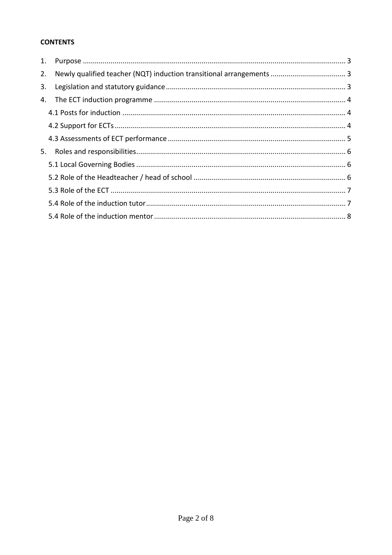# **CONTENTS**

| 1. |  |
|----|--|
| 2. |  |
| 3. |  |
| 4. |  |
|    |  |
|    |  |
|    |  |
| 5. |  |
|    |  |
|    |  |
|    |  |
|    |  |
|    |  |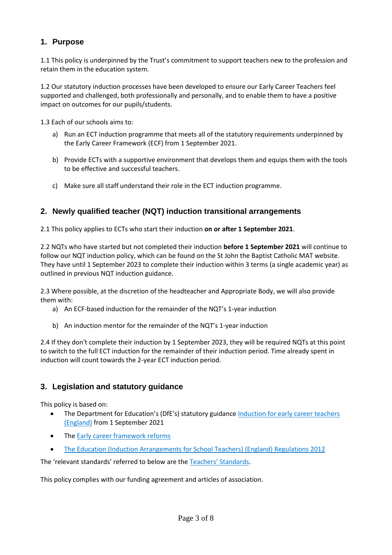## <span id="page-2-0"></span>**1. Purpose**

1.1 This policy is underpinned by the Trust's commitment to support teachers new to the profession and retain them in the education system.

1.2 Our statutory induction processes have been developed to ensure our Early Career Teachers feel supported and challenged, both professionally and personally, and to enable them to have a positive impact on outcomes for our pupils/students.

1.3 Each of our schools aims to:

- a) Run an ECT induction programme that meets all of the statutory requirements underpinned by the Early Career Framework (ECF) from 1 September 2021.
- b) Provide ECTs with a supportive environment that develops them and equips them with the tools to be effective and successful teachers.
- c) Make sure all staff understand their role in the ECT induction programme.

## <span id="page-2-1"></span>**2. Newly qualified teacher (NQT) induction transitional arrangements**

2.1 This policy applies to ECTs who start their induction **on or after 1 September 2021**.

2.2 NQTs who have started but not completed their induction **before 1 September 2021** will continue to follow our NQT induction policy, which can be found on the St John the Baptist Catholic MAT website. They have until 1 September 2023 to complete their induction within 3 terms (a single academic year) as outlined in previous NQT induction guidance.

2.3 Where possible, at the discretion of the headteacher and Appropriate Body, we will also provide them with:

- a) An ECF-based induction for the remainder of the NQT's 1-year induction
- b) An induction mentor for the remainder of the NQT's 1-year induction

2.4 If they don't complete their induction by 1 September 2023, they will be required NQTs at this point to switch to the full ECT induction for the remainder of their induction period. Time already spent in induction will count towards the 2-year ECT induction period.

## <span id="page-2-2"></span>**3. Legislation and statutory guidance**

This policy is based on:

- The Department for Education's (DfE's) statutory guidance Induction for early career teachers [\(England\)](https://www.gov.uk/government/publications/induction-for-early-career-teachers-england) from 1 September 2021
- Th[e Early career framework reforms](https://www.gov.uk/government/collections/early-career-framework-reforms)
- [The Education \(Induction Arrangements for School Teachers\) \(England\) Regulations 2012](http://www.legislation.gov.uk/uksi/2012/1115/contents/made)

The 'relevant standards' referred to below are the [Teachers' Standards](https://www.gov.uk/government/publications/teachers-standards).

This policy complies with our funding agreement and articles of association.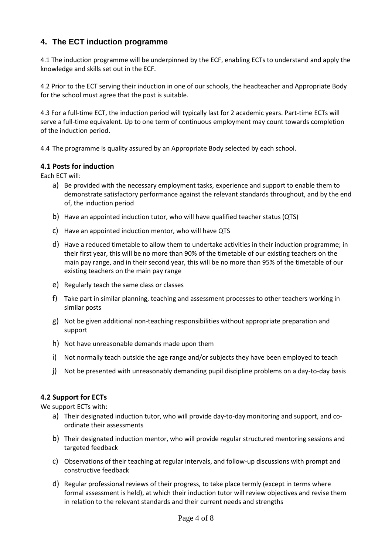## <span id="page-3-0"></span>**4. The ECT induction programme**

4.1 The induction programme will be underpinned by the ECF, enabling ECTs to understand and apply the knowledge and skills set out in the ECF.

4.2 Prior to the ECT serving their induction in one of our schools, the headteacher and Appropriate Body for the school must agree that the post is suitable.

4.3 For a full-time ECT, the induction period will typically last for 2 academic years. Part-time ECTs will serve a full-time equivalent. Up to one term of continuous employment may count towards completion of the induction period.

4.4 The programme is quality assured by an Appropriate Body selected by each school.

#### <span id="page-3-1"></span>**4.1 Posts for induction**

Each ECT will:

- a) Be provided with the necessary employment tasks, experience and support to enable them to demonstrate satisfactory performance against the relevant standards throughout, and by the end of, the induction period
- b) Have an appointed induction tutor, who will have qualified teacher status (QTS)
- c) Have an appointed induction mentor, who will have QTS
- d) Have a reduced timetable to allow them to undertake activities in their induction programme; in their first year, this will be no more than 90% of the timetable of our existing teachers on the main pay range, and in their second year, this will be no more than 95% of the timetable of our existing teachers on the main pay range
- e) Regularly teach the same class or classes
- f) Take part in similar planning, teaching and assessment processes to other teachers working in similar posts
- g) Not be given additional non-teaching responsibilities without appropriate preparation and support
- h) Not have unreasonable demands made upon them
- i) Not normally teach outside the age range and/or subjects they have been employed to teach
- j) Not be presented with unreasonably demanding pupil discipline problems on a day-to-day basis

#### <span id="page-3-2"></span>**4.2 Support for ECTs**

We support ECTs with:

- a) Their designated induction tutor, who will provide day-to-day monitoring and support, and coordinate their assessments
- b) Their designated induction mentor, who will provide regular structured mentoring sessions and targeted feedback
- c) Observations of their teaching at regular intervals, and follow-up discussions with prompt and constructive feedback
- d) Regular professional reviews of their progress, to take place termly (except in terms where formal assessment is held), at which their induction tutor will review objectives and revise them in relation to the relevant standards and their current needs and strengths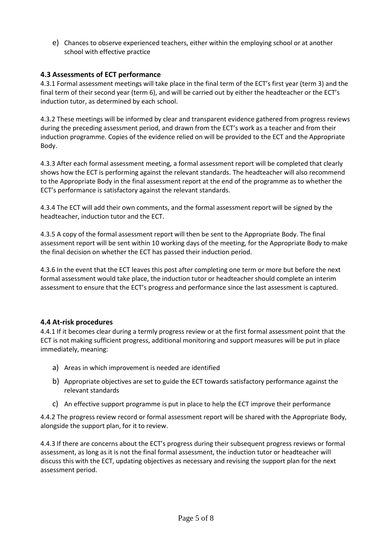e) Chances to observe experienced teachers, either within the employing school or at another school with effective practice

#### <span id="page-4-0"></span>**4.3 Assessments of ECT performance**

4.3.1 Formal assessment meetings will take place in the final term of the ECT's first year (term 3) and the final term of their second year (term 6), and will be carried out by either the headteacher or the ECT's induction tutor, as determined by each school.

4.3.2 These meetings will be informed by clear and transparent evidence gathered from progress reviews during the preceding assessment period, and drawn from the ECT's work as a teacher and from their induction programme. Copies of the evidence relied on will be provided to the ECT and the Appropriate Body.

4.3.3 After each formal assessment meeting, a formal assessment report will be completed that clearly shows how the ECT is performing against the relevant standards. The headteacher will also recommend to the Appropriate Body in the final assessment report at the end of the programme as to whether the ECT's performance is satisfactory against the relevant standards.

4.3.4 The ECT will add their own comments, and the formal assessment report will be signed by the headteacher, induction tutor and the ECT.

4.3.5 A copy of the formal assessment report will then be sent to the Appropriate Body. The final assessment report will be sent within 10 working days of the meeting, for the Appropriate Body to make the final decision on whether the ECT has passed their induction period.

4.3.6 In the event that the ECT leaves this post after completing one term or more but before the next formal assessment would take place, the induction tutor or headteacher should complete an interim assessment to ensure that the ECT's progress and performance since the last assessment is captured.

#### **4.4 At-risk procedures**

4.4.1 If it becomes clear during a termly progress review or at the first formal assessment point that the ECT is not making sufficient progress, additional monitoring and support measures will be put in place immediately, meaning:

- a) Areas in which improvement is needed are identified
- b) Appropriate objectives are set to guide the ECT towards satisfactory performance against the relevant standards
- c) An effective support programme is put in place to help the ECT improve their performance

4.4.2 The progress review record or formal assessment report will be shared with the Appropriate Body, alongside the support plan, for it to review.

4.4.3 If there are concerns about the ECT's progress during their subsequent progress reviews or formal assessment, as long as it is not the final formal assessment, the induction tutor or headteacher will discuss this with the ECT, updating objectives as necessary and revising the support plan for the next assessment period.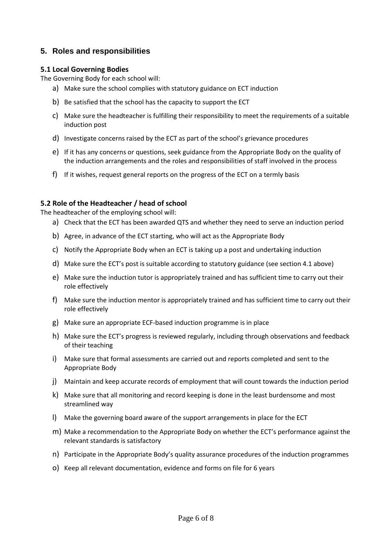## <span id="page-5-0"></span>**5. Roles and responsibilities**

#### <span id="page-5-1"></span>**5.1 Local Governing Bodies**

The Governing Body for each school will:

- a) Make sure the school complies with statutory guidance on ECT induction
- b) Be satisfied that the school has the capacity to support the ECT
- c) Make sure the headteacher is fulfilling their responsibility to meet the requirements of a suitable induction post
- d) Investigate concerns raised by the ECT as part of the school's grievance procedures
- e) If it has any concerns or questions, seek guidance from the Appropriate Body on the quality of the induction arrangements and the roles and responsibilities of staff involved in the process
- f) If it wishes, request general reports on the progress of the ECT on a termly basis

#### <span id="page-5-2"></span>**5.2 Role of the Headteacher / head of school**

The headteacher of the employing school will:

- a) Check that the ECT has been awarded QTS and whether they need to serve an induction period
- b) Agree, in advance of the ECT starting, who will act as the Appropriate Body
- c) Notify the Appropriate Body when an ECT is taking up a post and undertaking induction
- d) Make sure the ECT's post is suitable according to statutory guidance (see section 4.1 above)
- e) Make sure the induction tutor is appropriately trained and has sufficient time to carry out their role effectively
- f) Make sure the induction mentor is appropriately trained and has sufficient time to carry out their role effectively
- g) Make sure an appropriate ECF-based induction programme is in place
- h) Make sure the ECT's progress is reviewed regularly, including through observations and feedback of their teaching
- i) Make sure that formal assessments are carried out and reports completed and sent to the Appropriate Body
- j) Maintain and keep accurate records of employment that will count towards the induction period
- k) Make sure that all monitoring and record keeping is done in the least burdensome and most streamlined way
- l) Make the governing board aware of the support arrangements in place for the ECT
- m) Make a recommendation to the Appropriate Body on whether the ECT's performance against the relevant standards is satisfactory
- n) Participate in the Appropriate Body's quality assurance procedures of the induction programmes
- o) Keep all relevant documentation, evidence and forms on file for 6 years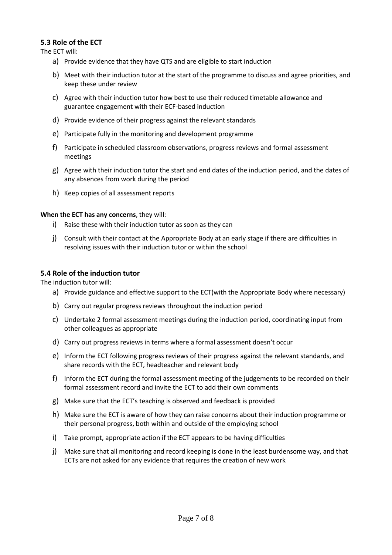#### <span id="page-6-0"></span>**5.3 Role of the ECT**

The ECT will:

- a) Provide evidence that they have QTS and are eligible to start induction
- b) Meet with their induction tutor at the start of the programme to discuss and agree priorities, and keep these under review
- c) Agree with their induction tutor how best to use their reduced timetable allowance and guarantee engagement with their ECF-based induction
- d) Provide evidence of their progress against the relevant standards
- e) Participate fully in the monitoring and development programme
- f) Participate in scheduled classroom observations, progress reviews and formal assessment meetings
- g) Agree with their induction tutor the start and end dates of the induction period, and the dates of any absences from work during the period
- h) Keep copies of all assessment reports

#### **When the ECT has any concerns**, they will:

- i) Raise these with their induction tutor as soon as they can
- j) Consult with their contact at the Appropriate Body at an early stage if there are difficulties in resolving issues with their induction tutor or within the school

#### <span id="page-6-1"></span>**5.4 Role of the induction tutor**

The induction tutor will:

- a) Provide guidance and effective support to the ECT(with the Appropriate Body where necessary)
- b) Carry out regular progress reviews throughout the induction period
- c) Undertake 2 formal assessment meetings during the induction period, coordinating input from other colleagues as appropriate
- d) Carry out progress reviews in terms where a formal assessment doesn't occur
- e) Inform the ECT following progress reviews of their progress against the relevant standards, and share records with the ECT, headteacher and relevant body
- f) Inform the ECT during the formal assessment meeting of the judgements to be recorded on their formal assessment record and invite the ECT to add their own comments
- g) Make sure that the ECT's teaching is observed and feedback is provided
- h) Make sure the ECT is aware of how they can raise concerns about their induction programme or their personal progress, both within and outside of the employing school
- i) Take prompt, appropriate action if the ECT appears to be having difficulties
- j) Make sure that all monitoring and record keeping is done in the least burdensome way, and that ECTs are not asked for any evidence that requires the creation of new work